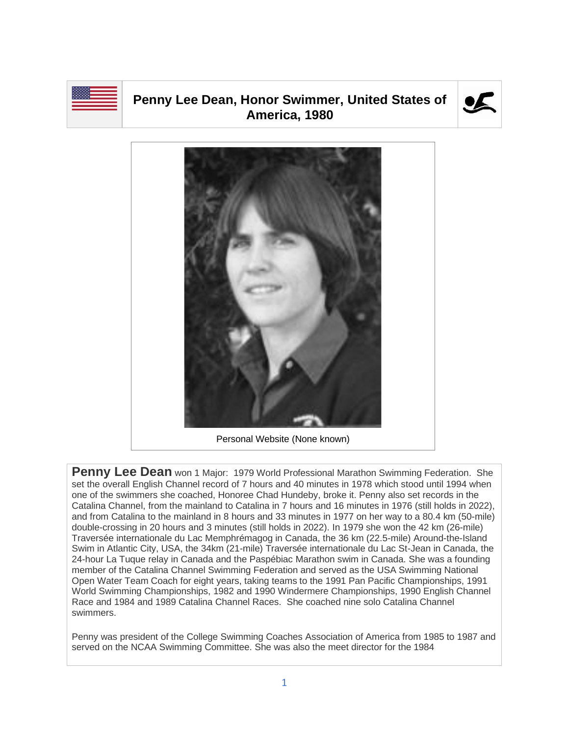

## **Penny Lee Dean, Honor Swimmer, United States of America, 1980**





**Penny Lee Dean** won 1 Major: 1979 World Professional Marathon Swimming Federation. She set the overall English Channel record of 7 hours and 40 minutes in 1978 which stood until 1994 when one of the swimmers she coached, Honoree Chad Hundeby, broke it. Penny also set records in the Catalina Channel, from the mainland to Catalina in 7 hours and 16 minutes in 1976 (still holds in 2022), and from Catalina to the mainland in 8 hours and 33 minutes in 1977 on her way to a 80.4 km (50-mile) double-crossing in 20 hours and 3 minutes (still holds in 2022). In 1979 she won the 42 km (26-mile) Traversée internationale du Lac Memphrémagog in Canada, the 36 km (22.5-mile) Around-the-Island Swim in Atlantic City, USA, the 34km (21-mile) Traversée internationale du Lac St-Jean in Canada, the 24-hour La Tuque relay in Canada and the Paspébiac Marathon swim in Canada. She was a founding member of the Catalina Channel Swimming Federation and served as the USA Swimming National Open Water Team Coach for eight years, taking teams to the 1991 Pan Pacific Championships, 1991 World Swimming Championships, 1982 and 1990 Windermere Championships, 1990 English Channel Race and 1984 and 1989 Catalina Channel Races. She coached nine solo Catalina Channel swimmers.

Penny was president of the College Swimming Coaches Association of America from 1985 to 1987 and served on the NCAA Swimming Committee. She was also the meet director for the 1984